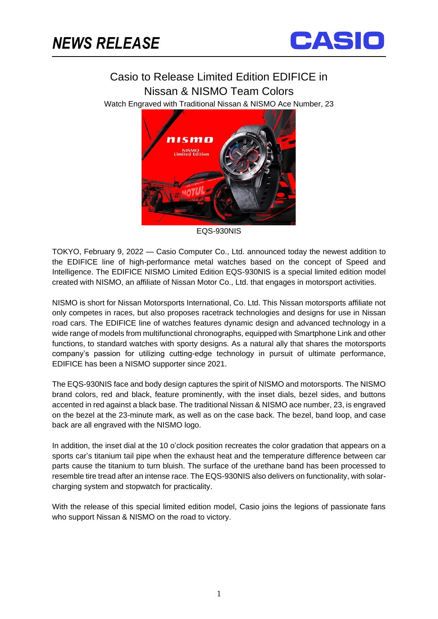ֺֺ



## Casio to Release Limited Edition EDIFICE in Nissan & NISMO Team Colors

Watch Engraved with Traditional Nissan & NISMO Ace Number, 23



EQS-930NIS

TOKYO, February 9, 2022 — Casio Computer Co., Ltd. announced today the newest addition to the EDIFICE line of high-performance metal watches based on the concept of Speed and Intelligence. The EDIFICE NISMO Limited Edition EQS-930NIS is a special limited edition model created with NISMO, an affiliate of Nissan Motor Co., Ltd. that engages in motorsport activities.

NISMO is short for Nissan Motorsports International, Co. Ltd. This Nissan motorsports affiliate not only competes in races, but also proposes racetrack technologies and designs for use in Nissan road cars. The EDIFICE line of watches features dynamic design and advanced technology in a wide range of models from multifunctional chronographs, equipped with Smartphone Link and other functions, to standard watches with sporty designs. As a natural ally that shares the motorsports company's passion for utilizing cutting-edge technology in pursuit of ultimate performance, EDIFICE has been a NISMO supporter since 2021.

The EQS-930NIS face and body design captures the spirit of NISMO and motorsports. The NISMO brand colors, red and black, feature prominently, with the inset dials, bezel sides, and buttons accented in red against a black base. The traditional Nissan & NISMO ace number, 23, is engraved on the bezel at the 23-minute mark, as well as on the case back. The bezel, band loop, and case back are all engraved with the NISMO logo.

In addition, the inset dial at the 10 o'clock position recreates the color gradation that appears on a sports car's titanium tail pipe when the exhaust heat and the temperature difference between car parts cause the titanium to turn bluish. The surface of the urethane band has been processed to resemble tire tread after an intense race. The EQS-930NIS also delivers on functionality, with solarcharging system and stopwatch for practicality.

With the release of this special limited edition model, Casio joins the legions of passionate fans who support Nissan & NISMO on the road to victory.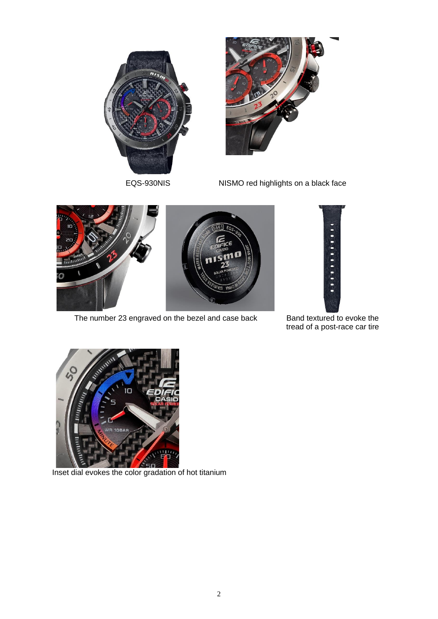



EQS-930NIS NISMO red highlights on a black face



The number 23 engraved on the bezel and case back Band textured to evoke the



tread of a post-race car tire



Inset dial evokes the color gradation of hot titanium